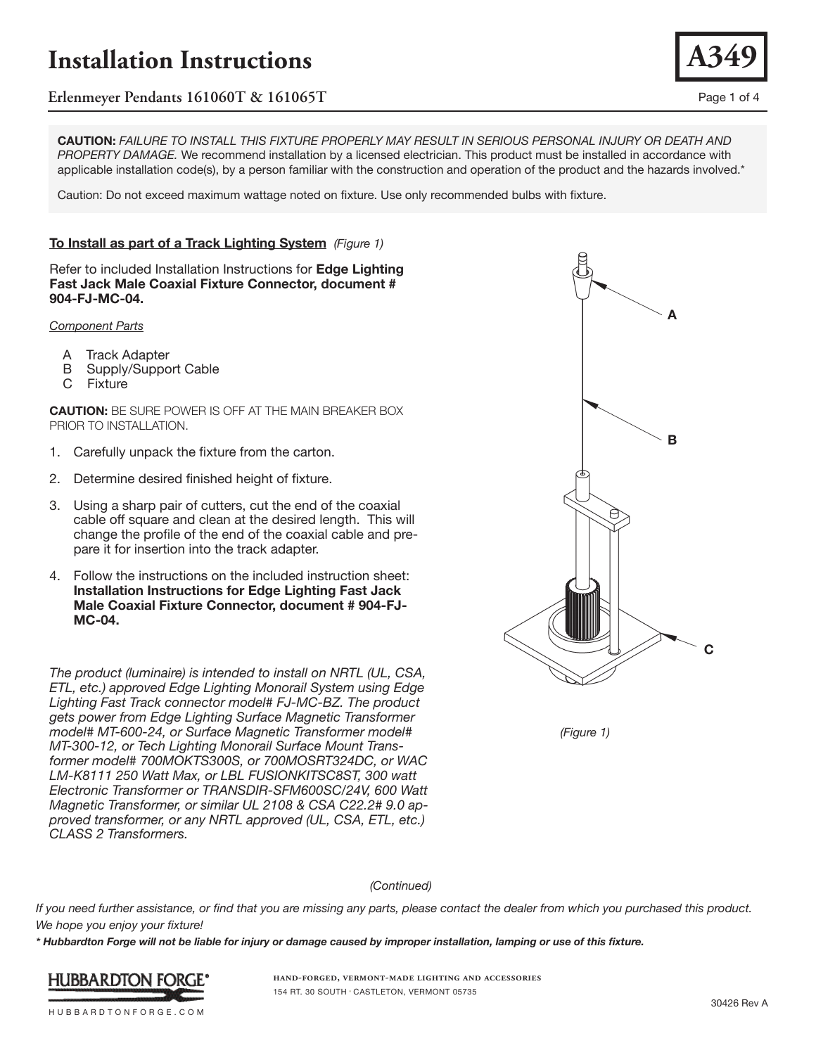

**CAUTION:** *FAILURE TO INSTALL THIS FIXTURE PROPERLY MAY RESULT IN SERIOUS PERSONAL INJURY OR DEATH AND PROPERTY DAMAGE.* We recommend installation by a licensed electrician. This product must be installed in accordance with applicable installation code(s), by a person familiar with the construction and operation of the product and the hazards involved.\*

Caution: Do not exceed maximum wattage noted on fixture. Use only recommended bulbs with fixture.

## **To Install as part of a Track Lighting System** *(Figure 1)*

Refer to included Installation Instructions for **Edge Lighting Fast Jack Male Coaxial Fixture Connector, document # 904-FJ-MC-04.** 

*Component Parts*

- A Track Adapter
- B Supply/Support Cable
- C Fixture

**CAUTION:** BE SURE POWER IS OFF AT THE MAIN BREAKER BOX PRIOR TO INSTALLATION.

- 1. Carefully unpack the fixture from the carton.
- 2. Determine desired finished height of fixture.
- 3. Using a sharp pair of cutters, cut the end of the coaxial cable off square and clean at the desired length. This will change the profile of the end of the coaxial cable and prepare it for insertion into the track adapter.
- 4. Follow the instructions on the included instruction sheet: **Installation Instructions for Edge Lighting Fast Jack Male Coaxial Fixture Connector, document # 904-FJ-MC-04.**

*The product (luminaire) is intended to install on NRTL (UL, CSA, ETL, etc.) approved Edge Lighting Monorail System using Edge Lighting Fast Track connector model# FJ-MC-BZ. The product gets power from Edge Lighting Surface Magnetic Transformer model# MT-600-24, or Surface Magnetic Transformer model# MT-300-12, or Tech Lighting Monorail Surface Mount Transformer model# 700MOKTS300S, or 700MOSRT324DC, or WAC LM-K8111 250 Watt Max, or LBL FUSIONKITSC8ST, 300 watt Electronic Transformer or TRANSDIR-SFM600SC/24V, 600 Watt Magnetic Transformer, or similar UL 2108 & CSA C22.2# 9.0 approved transformer, or any NRTL approved (UL, CSA, ETL, etc.) CLASS 2 Transformers.*





*(Continued)*

*If you need further assistance, or find that you are missing any parts, please contact the dealer from which you purchased this product. We hope you enjoy your fixture!* 

*\* Hubbardton Forge will not be liable for injury or damage caused by improper installation, lamping or use of this fixture.*



**hand-forged, vermont-made lighting and accessories** 154 RT. 30 SOUTH • CASTLETON, VERMONT 05735

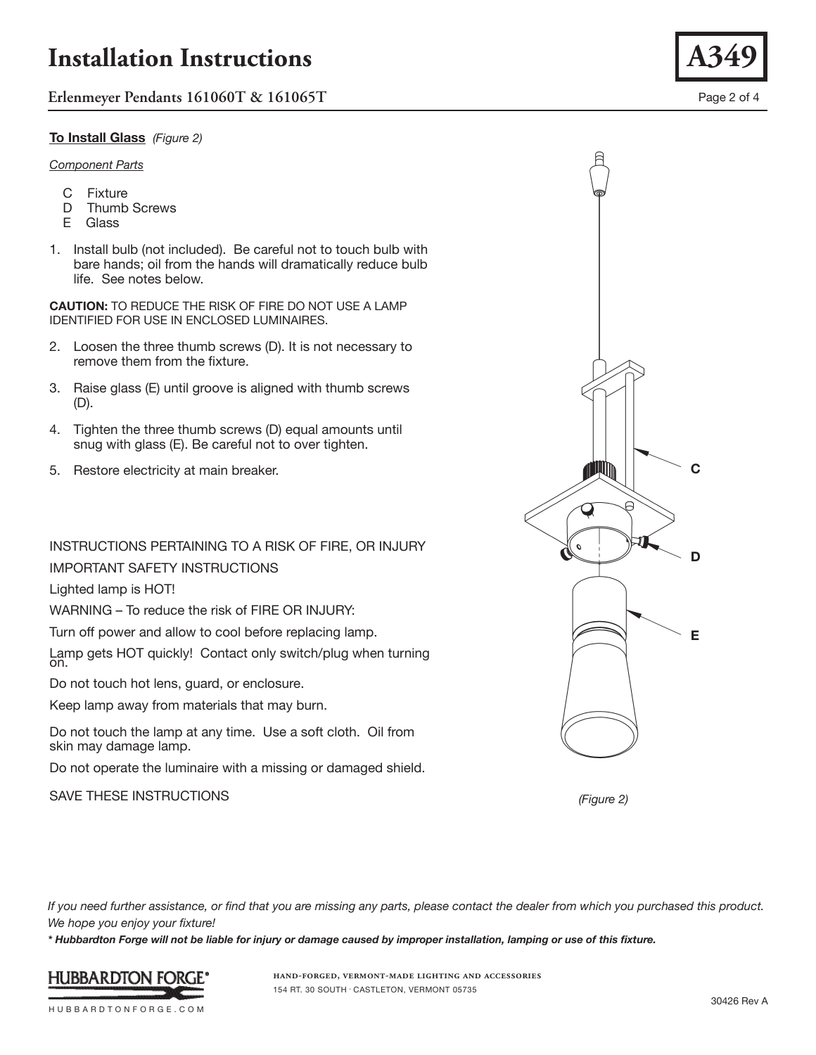**Erlenmeyer Pendants 161060T & 161065T** Page 2 of 4

## **To Install Glass** *(Figure 2)*

#### *Component Parts*

- C Fixture
- D Thumb Screws
- E Glass
- 1. Install bulb (not included). Be careful not to touch bulb with bare hands; oil from the hands will dramatically reduce bulb life. See notes below.

**CAUTION:** TO REDUCE THE RISK OF FIRE DO NOT USE A LAMP IDENTIFIED FOR USE IN ENCLOSED LUMINAIRES.

- 2. Loosen the three thumb screws (D). It is not necessary to remove them from the fixture.
- 3. Raise glass (E) until groove is aligned with thumb screws (D).
- 4. Tighten the three thumb screws (D) equal amounts until snug with glass (E). Be careful not to over tighten.
- 5. Restore electricity at main breaker.

## INSTRUCTIONS PERTAINING TO A RISK OF FIRE, OR INJURY IMPORTANT SAFETY INSTRUCTIONS

Lighted lamp is HOT!

WARNING – To reduce the risk of FIRE OR INJURY:

Turn off power and allow to cool before replacing lamp.

Lamp gets HOT quickly! Contact only switch/plug when turning on.

Do not touch hot lens, guard, or enclosure.

Keep lamp away from materials that may burn.

Do not touch the lamp at any time. Use a soft cloth. Oil from skin may damage lamp.

Do not operate the luminaire with a missing or damaged shield.

SAVE THESE INSTRUCTIONS



*(Figure 2)*

*If you need further assistance, or find that you are missing any parts, please contact the dealer from which you purchased this product. We hope you enjoy your fixture!* 

*\* Hubbardton Forge will not be liable for injury or damage caused by improper installation, lamping or use of this fixture.*



**hand-forged, vermont-made lighting and accessories** 154 RT. 30 SOUTH • CASTLETON, VERMONT 05735

**A349**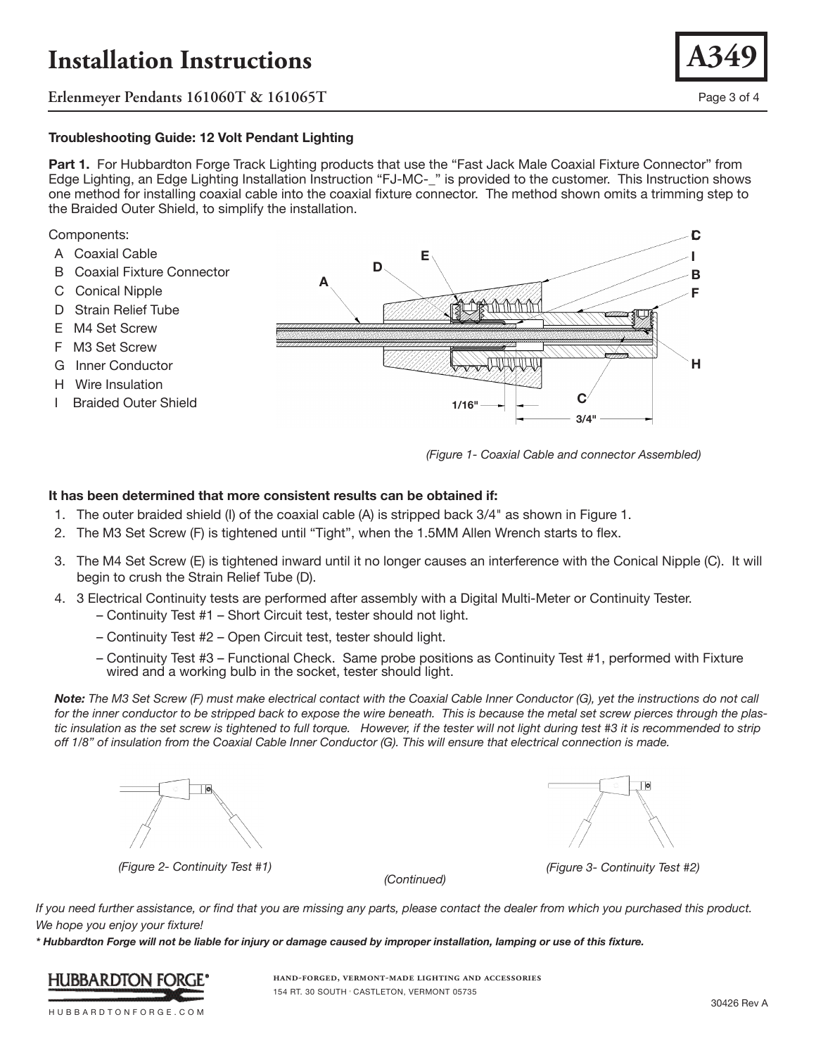**Erlenmeyer Pendants 161060T & 161065T** Page 3 of 4

### **Troubleshooting Guide: 12 Volt Pendant Lighting**

**Part 1.** For Hubbardton Forge Track Lighting products that use the "Fast Jack Male Coaxial Fixture Connector" from Edge Lighting, an Edge Lighting Installation Instruction "FJ-MC-\_" is provided to the customer. This Instruction shows one method for installing coaxial cable into the coaxial fixture connector. The method shown omits a trimming step to the Braided Outer Shield, to simplify the installation.

#### Components:

- A Coaxial Cable
- B Coaxial Fixture Connector
- C Conical Nipple
- D Strain Relief Tube
- E M4 Set Screw
- F M3 Set Screw
- G Inner Conductor
- H Wire Insulation
- I Braided Outer Shield



*(Figure 1- Coaxial Cable and connector Assembled)*

#### **It has been determined that more consistent results can be obtained if:**

- 1. The outer braided shield (I) of the coaxial cable (A) is stripped back 3/4" as shown in Figure 1.
- 2. The M3 Set Screw (F) is tightened until "Tight", when the 1.5MM Allen Wrench starts to flex.
- 3. The M4 Set Screw (E) is tightened inward until it no longer causes an interference with the Conical Nipple (C). It will begin to crush the Strain Relief Tube (D).
- 4. 3 Electrical Continuity tests are performed after assembly with a Digital Multi-Meter or Continuity Tester.
	- Continuity Test #1 Short Circuit test, tester should not light.
	- Continuity Test #2 Open Circuit test, tester should light.
	- Continuity Test #3 Functional Check. Same probe positions as Continuity Test #1, performed with Fixture wired and a working bulb in the socket, tester should light.

*Note: The M3 Set Screw (F) must make electrical contact with the Coaxial Cable Inner Conductor (G), yet the instructions do not call for the inner conductor to be stripped back to expose the wire beneath. This is because the metal set screw pierces through the plas*tic insulation as the set screw is tightened to full torque. However, if the tester will not light during test #3 it is recommended to strip *off 1/8" of insulation from the Coaxial Cable Inner Conductor (G). This will ensure that electrical connection is made.*



 $|0\rangle$ 

*(Figure 2- Continuity Test #1) (Figure 3- Continuity Test #2)*

*(Continued)*

*If you need further assistance, or find that you are missing any parts, please contact the dealer from which you purchased this product. We hope you enjoy your fixture!* 

*\* Hubbardton Forge will not be liable for injury or damage caused by improper installation, lamping or use of this fixture.*



**hand-forged, vermont-made lighting and accessories** 154 RT. 30 SOUTH • CASTLETON, VERMONT 05735